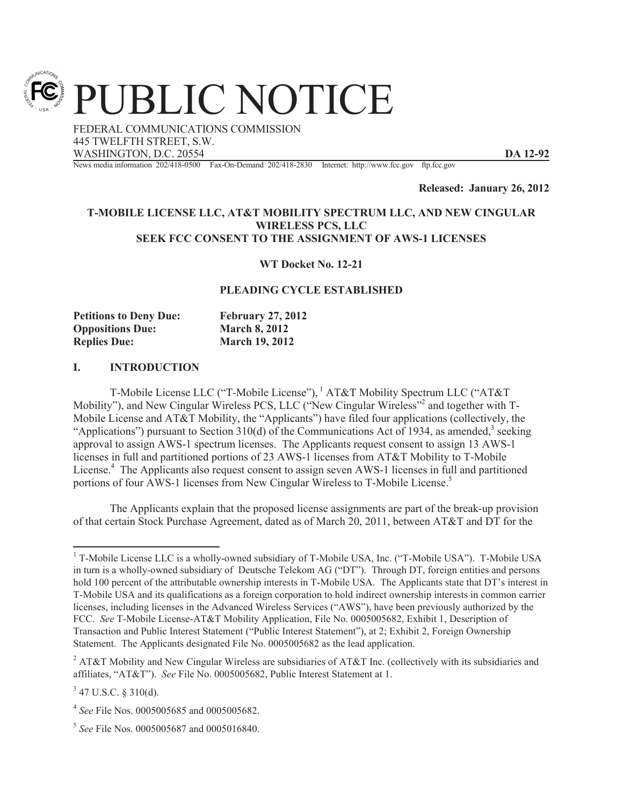PUBLIC NOTICE

FEDERAL COMMUNICATIONS COMMISSION 445 TWELFTH STREET, S.W. WASHINGTON, D.C. 20554 **DA 12-92**

News media information 202/418-0500 Fax-On-Demand 202/418-2830 Internet: http://www.fcc.gov ftp.fcc.gov

**Released: January 26, 2012**

### **T-MOBILE LICENSE LLC, AT&T MOBILITY SPECTRUM LLC, AND NEW CINGULAR WIRELESS PCS, LLC SEEK FCC CONSENT TO THE ASSIGNMENT OF AWS-1 LICENSES**

**WT Docket No. 12-21** 

### **PLEADING CYCLE ESTABLISHED**

| <b>Petitions to Deny Due:</b> | <b>February 27, 2012</b> |
|-------------------------------|--------------------------|
| <b>Oppositions Due:</b>       | <b>March 8, 2012</b>     |
| <b>Replies Due:</b>           | <b>March 19, 2012</b>    |

### **I. INTRODUCTION**

T-Mobile License LLC ("T-Mobile License"), <sup>1</sup> AT&T Mobility Spectrum LLC ("AT&T Mobility"), and New Cingular Wireless PCS, LLC ("New Cingular Wireless"<sup>2</sup> and together with T-Mobile License and AT&T Mobility, the "Applicants") have filed four applications (collectively, the "Applications") pursuant to Section 310(d) of the Communications Act of 1934, as amended,<sup>3</sup> seeking approval to assign AWS-1 spectrum licenses. The Applicants request consent to assign 13 AWS-1 licenses in full and partitioned portions of 23 AWS-1 licenses from AT&T Mobility to T-Mobile License.<sup>4</sup> The Applicants also request consent to assign seven AWS-1 licenses in full and partitioned portions of four AWS-1 licenses from New Cingular Wireless to T-Mobile License.<sup>5</sup>

The Applicants explain that the proposed license assignments are part of the break-up provision of that certain Stock Purchase Agreement, dated as of March 20, 2011, between AT&T and DT for the

 $1$  T-Mobile License LLC is a wholly-owned subsidiary of T-Mobile USA, Inc. ("T-Mobile USA"). T-Mobile USA in turn is a wholly-owned subsidiary of Deutsche Telekom AG ("DT"). Through DT, foreign entities and persons hold 100 percent of the attributable ownership interests in T-Mobile USA. The Applicants state that DT's interest in T-Mobile USA and its qualifications as a foreign corporation to hold indirect ownership interests in common carrier licenses, including licenses in the Advanced Wireless Services ("AWS"), have been previously authorized by the FCC. *See* T-Mobile License-AT&T Mobility Application, File No. 0005005682, Exhibit 1, Description of Transaction and Public Interest Statement ("Public Interest Statement"), at 2; Exhibit 2, Foreign Ownership Statement. The Applicants designated File No. 0005005682 as the lead application.

<sup>&</sup>lt;sup>2</sup> AT&T Mobility and New Cingular Wireless are subsidiaries of AT&T Inc. (collectively with its subsidiaries and affiliates, "AT&T"). *See* File No. 0005005682, Public Interest Statement at 1.

 $3$  47 U.S.C. § 310(d).

<sup>4</sup> *See* File Nos. 0005005685 and 0005005682.

<sup>5</sup> *See* File Nos. 0005005687 and 0005016840.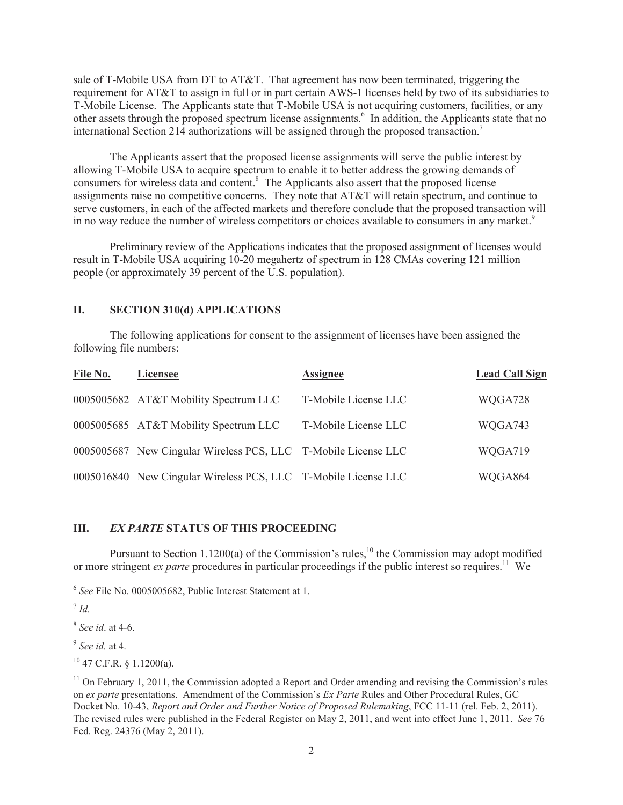sale of T-Mobile USA from DT to AT&T. That agreement has now been terminated, triggering the requirement for AT&T to assign in full or in part certain AWS-1 licenses held by two of its subsidiaries to T-Mobile License. The Applicants state that T-Mobile USA is not acquiring customers, facilities, or any other assets through the proposed spectrum license assignments.<sup>6</sup> In addition, the Applicants state that no international Section 214 authorizations will be assigned through the proposed transaction.<sup>7</sup>

The Applicants assert that the proposed license assignments will serve the public interest by allowing T-Mobile USA to acquire spectrum to enable it to better address the growing demands of consumers for wireless data and content.<sup>8</sup> The Applicants also assert that the proposed license assignments raise no competitive concerns. They note that AT&T will retain spectrum, and continue to serve customers, in each of the affected markets and therefore conclude that the proposed transaction will in no way reduce the number of wireless competitors or choices available to consumers in any market.<sup>9</sup>

Preliminary review of the Applications indicates that the proposed assignment of licenses would result in T-Mobile USA acquiring 10-20 megahertz of spectrum in 128 CMAs covering 121 million people (or approximately 39 percent of the U.S. population).

## **II. SECTION 310(d) APPLICATIONS**

The following applications for consent to the assignment of licenses have been assigned the following file numbers:

| File No. | <b>Licensee</b>                                                | <b>Assignee</b>      | <b>Lead Call Sign</b> |
|----------|----------------------------------------------------------------|----------------------|-----------------------|
|          | 0005005682 AT&T Mobility Spectrum LLC                          | T-Mobile License LLC | WQGA728               |
|          | 0005005685 AT&T Mobility Spectrum LLC                          | T-Mobile License LLC | WQGA743               |
|          | 0005005687 New Cingular Wireless PCS, LLC T-Mobile License LLC |                      | WQGA719               |
|          | 0005016840 New Cingular Wireless PCS, LLC T-Mobile License LLC |                      | WQGA864               |

# **III.** *EX PARTE* **STATUS OF THIS PROCEEDING**

Pursuant to Section 1.1200(a) of the Commission's rules,<sup>10</sup> the Commission may adopt modified or more stringent *ex parte* procedures in particular proceedings if the public interest so requires.<sup>11</sup> We

<sup>6</sup> *See* File No. 0005005682, Public Interest Statement at 1.

<sup>7</sup> *Id.*

<sup>8</sup> *See id*. at 4-6.

<sup>9</sup> *See id.* at 4.

 $10$  47 C.F.R. § 1.1200(a).

<sup>&</sup>lt;sup>11</sup> On February 1, 2011, the Commission adopted a Report and Order amending and revising the Commission's rules on *ex parte* presentations. Amendment of the Commission's *Ex Parte* Rules and Other Procedural Rules, GC Docket No. 10-43, *Report and Order and Further Notice of Proposed Rulemaking*, FCC 11-11 (rel. Feb. 2, 2011). The revised rules were published in the Federal Register on May 2, 2011, and went into effect June 1, 2011. *See* 76 Fed. Reg. 24376 (May 2, 2011).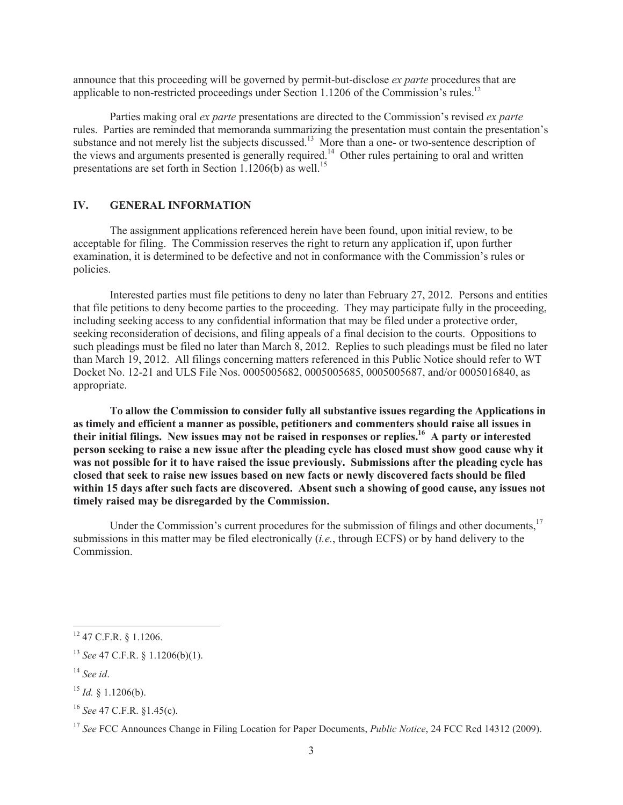announce that this proceeding will be governed by permit-but-disclose *ex parte* procedures that are applicable to non-restricted proceedings under Section 1.1206 of the Commission's rules.<sup>12</sup>

Parties making oral *ex parte* presentations are directed to the Commission's revised *ex parte* rules. Parties are reminded that memoranda summarizing the presentation must contain the presentation's substance and not merely list the subjects discussed.<sup>13</sup> More than a one- or two-sentence description of the views and arguments presented is generally required.<sup>14</sup> Other rules pertaining to oral and written presentations are set forth in Section 1.1206(b) as well.<sup>15</sup>

#### **IV. GENERAL INFORMATION**

The assignment applications referenced herein have been found, upon initial review, to be acceptable for filing. The Commission reserves the right to return any application if, upon further examination, it is determined to be defective and not in conformance with the Commission's rules or policies.

Interested parties must file petitions to deny no later than February 27, 2012. Persons and entities that file petitions to deny become parties to the proceeding. They may participate fully in the proceeding, including seeking access to any confidential information that may be filed under a protective order, seeking reconsideration of decisions, and filing appeals of a final decision to the courts. Oppositions to such pleadings must be filed no later than March 8, 2012. Replies to such pleadings must be filed no later than March 19, 2012. All filings concerning matters referenced in this Public Notice should refer to WT Docket No. 12-21 and ULS File Nos. 0005005682, 0005005685, 0005005687, and/or 0005016840, as appropriate.

**To allow the Commission to consider fully all substantive issues regarding the Applications in as timely and efficient a manner as possible, petitioners and commenters should raise all issues in their initial filings. New issues may not be raised in responses or replies.<sup>16</sup> A party or interested person seeking to raise a new issue after the pleading cycle has closed must show good cause why it was not possible for it to have raised the issue previously. Submissions after the pleading cycle has closed that seek to raise new issues based on new facts or newly discovered facts should be filed within 15 days after such facts are discovered. Absent such a showing of good cause, any issues not timely raised may be disregarded by the Commission.**

Under the Commission's current procedures for the submission of filings and other documents.<sup>17</sup> submissions in this matter may be filed electronically (*i.e.*, through ECFS) or by hand delivery to the **Commission** 

<sup>12</sup> 47 C.F.R. § 1.1206.

<sup>13</sup> *See* 47 C.F.R. § 1.1206(b)(1).

<sup>14</sup> *See id*.

 $^{15}$  *Id.* § 1.1206(b).

<sup>16</sup> *See* 47 C.F.R. §1.45(c).

<sup>&</sup>lt;sup>17</sup> *See* FCC Announces Change in Filing Location for Paper Documents, *Public Notice*, 24 FCC Rcd 14312 (2009).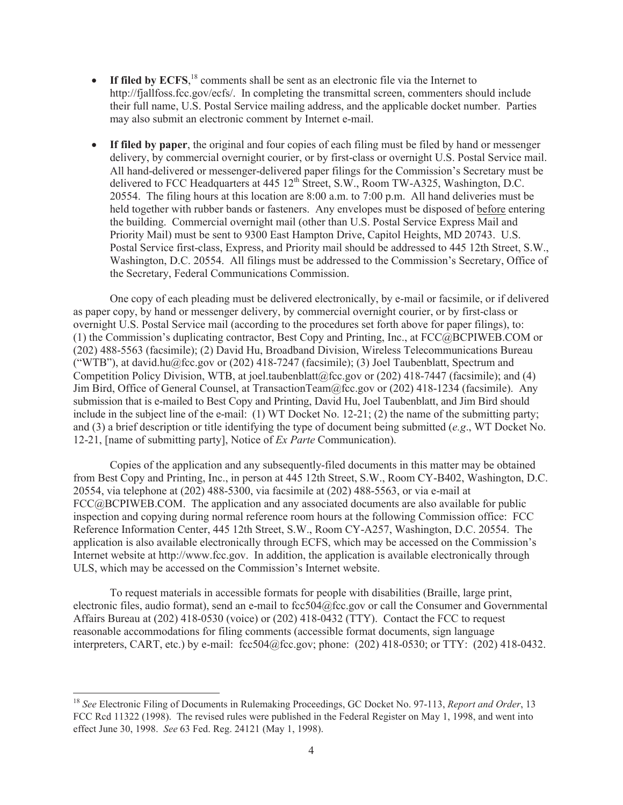- If filed by ECFS,<sup>18</sup> comments shall be sent as an electronic file via the Internet to http://fjallfoss.fcc.gov/ecfs/. In completing the transmittal screen, commenters should include their full name, U.S. Postal Service mailing address, and the applicable docket number. Parties may also submit an electronic comment by Internet e-mail.
- · **If filed by paper**, the original and four copies of each filing must be filed by hand or messenger delivery, by commercial overnight courier, or by first-class or overnight U.S. Postal Service mail. All hand-delivered or messenger-delivered paper filings for the Commission's Secretary must be delivered to FCC Headquarters at 445 12<sup>th</sup> Street, S.W., Room TW-A325, Washington, D.C. 20554. The filing hours at this location are 8:00 a.m. to 7:00 p.m. All hand deliveries must be held together with rubber bands or fasteners. Any envelopes must be disposed of before entering the building. Commercial overnight mail (other than U.S. Postal Service Express Mail and Priority Mail) must be sent to 9300 East Hampton Drive, Capitol Heights, MD 20743. U.S. Postal Service first-class, Express, and Priority mail should be addressed to 445 12th Street, S.W., Washington, D.C. 20554. All filings must be addressed to the Commission's Secretary, Office of the Secretary, Federal Communications Commission.

One copy of each pleading must be delivered electronically, by e-mail or facsimile, or if delivered as paper copy, by hand or messenger delivery, by commercial overnight courier, or by first-class or overnight U.S. Postal Service mail (according to the procedures set forth above for paper filings), to: (1) the Commission's duplicating contractor, Best Copy and Printing, Inc., at FCC@BCPIWEB.COM or (202) 488-5563 (facsimile); (2) David Hu, Broadband Division, Wireless Telecommunications Bureau ("WTB"), at david.hu@fcc.gov or (202) 418-7247 (facsimile); (3) Joel Taubenblatt, Spectrum and Competition Policy Division, WTB, at joel.taubenblatt@fcc.gov or (202) 418-7447 (facsimile); and (4) Jim Bird, Office of General Counsel, at TransactionTeam@fcc.gov or (202) 418-1234 (facsimile). Any submission that is e-mailed to Best Copy and Printing, David Hu, Joel Taubenblatt, and Jim Bird should include in the subject line of the e-mail: (1) WT Docket No. 12-21; (2) the name of the submitting party; and (3) a brief description or title identifying the type of document being submitted (*e.g*., WT Docket No. 12-21, [name of submitting party], Notice of *Ex Parte* Communication).

Copies of the application and any subsequently-filed documents in this matter may be obtained from Best Copy and Printing, Inc., in person at 445 12th Street, S.W., Room CY-B402, Washington, D.C. 20554, via telephone at (202) 488-5300, via facsimile at (202) 488-5563, or via e-mail at FCC@BCPIWEB.COM. The application and any associated documents are also available for public inspection and copying during normal reference room hours at the following Commission office: FCC Reference Information Center, 445 12th Street, S.W., Room CY-A257, Washington, D.C. 20554. The application is also available electronically through ECFS, which may be accessed on the Commission's Internet website at http://www.fcc.gov. In addition, the application is available electronically through ULS, which may be accessed on the Commission's Internet website.

To request materials in accessible formats for people with disabilities (Braille, large print, electronic files, audio format), send an e-mail to fcc504@fcc.gov or call the Consumer and Governmental Affairs Bureau at (202) 418-0530 (voice) or (202) 418-0432 (TTY). Contact the FCC to request reasonable accommodations for filing comments (accessible format documents, sign language interpreters, CART, etc.) by e-mail: fcc504@fcc.gov; phone: (202) 418-0530; or TTY: (202) 418-0432.

<sup>18</sup> *See* Electronic Filing of Documents in Rulemaking Proceedings, GC Docket No. 97-113, *Report and Order*, 13 FCC Rcd 11322 (1998). The revised rules were published in the Federal Register on May 1, 1998, and went into effect June 30, 1998. *See* 63 Fed. Reg. 24121 (May 1, 1998).